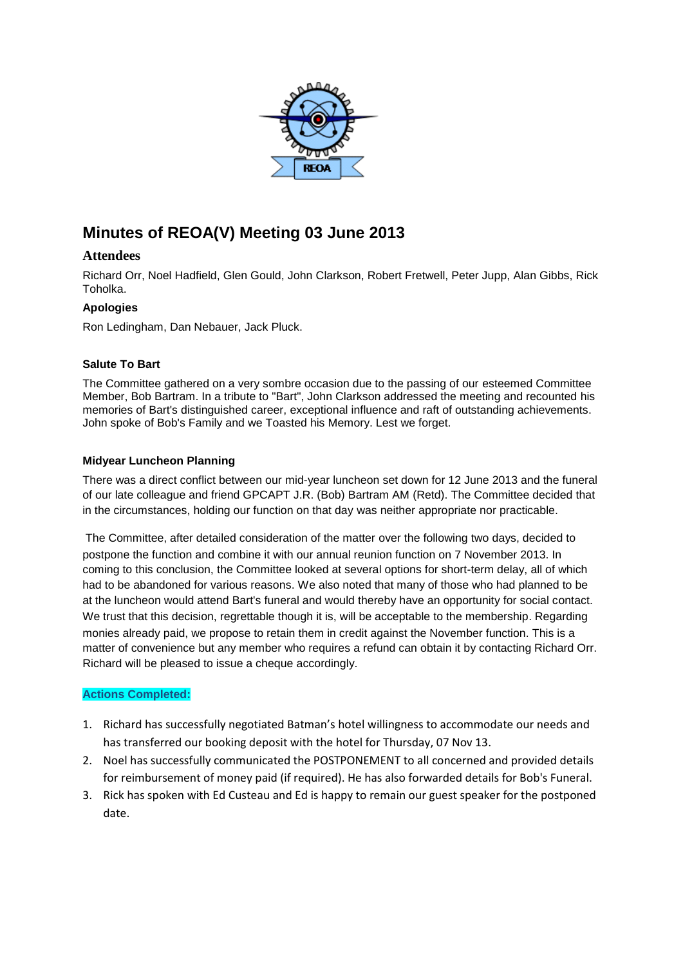

# **Minutes of REOA(V) Meeting 03 June 2013**

# **Attendees**

Richard Orr, Noel Hadfield, Glen Gould, John Clarkson, Robert Fretwell, Peter Jupp, Alan Gibbs, Rick Toholka.

### **Apologies**

Ron Ledingham, Dan Nebauer, Jack Pluck.

#### **Salute To Bart**

The Committee gathered on a very sombre occasion due to the passing of our esteemed Committee Member, Bob Bartram. In a tribute to "Bart", John Clarkson addressed the meeting and recounted his memories of Bart's distinguished career, exceptional influence and raft of outstanding achievements. John spoke of Bob's Family and we Toasted his Memory. Lest we forget.

### **Midyear Luncheon Planning**

There was a direct conflict between our mid-year luncheon set down for 12 June 2013 and the funeral of our late colleague and friend GPCAPT J.R. (Bob) Bartram AM (Retd). The Committee decided that in the circumstances, holding our function on that day was neither appropriate nor practicable.

The Committee, after detailed consideration of the matter over the following two days, decided to postpone the function and combine it with our annual reunion function on 7 November 2013. In coming to this conclusion, the Committee looked at several options for short-term delay, all of which had to be abandoned for various reasons. We also noted that many of those who had planned to be at the luncheon would attend Bart's funeral and would thereby have an opportunity for social contact. We trust that this decision, regrettable though it is, will be acceptable to the membership. Regarding monies already paid, we propose to retain them in credit against the November function. This is a matter of convenience but any member who requires a refund can obtain it by contacting Richard Orr. Richard will be pleased to issue a cheque accordingly.

#### **Actions Completed:**

- 1. Richard has successfully negotiated Batman's hotel willingness to accommodate our needs and has transferred our booking deposit with the hotel for Thursday, 07 Nov 13.
- 2. Noel has successfully communicated the POSTPONEMENT to all concerned and provided details for reimbursement of money paid (if required). He has also forwarded details for Bob's Funeral.
- 3. Rick has spoken with Ed Custeau and Ed is happy to remain our guest speaker for the postponed date.